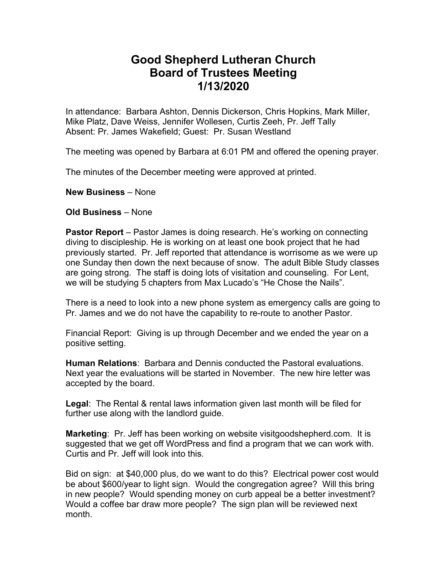## **Good Shepherd Lutheran Church Board of Trustees Meeting 1/13/2020**

In attendance: Barbara Ashton, Dennis Dickerson, Chris Hopkins, Mark Miller, Mike Platz, Dave Weiss, Jennifer Wollesen, Curtis Zeeh, Pr. Jeff Tally Absent: Pr. James Wakefield; Guest: Pr. Susan Westland

The meeting was opened by Barbara at 6:01 PM and offered the opening prayer.

The minutes of the December meeting were approved at printed.

**New Business** – None

**Old Business** – None

**Pastor Report** – Pastor James is doing research. He's working on connecting diving to discipleship. He is working on at least one book project that he had previously started. Pr. Jeff reported that attendance is worrisome as we were up one Sunday then down the next because of snow. The adult Bible Study classes are going strong. The staff is doing lots of visitation and counseling. For Lent, we will be studying 5 chapters from Max Lucado's "He Chose the Nails".

There is a need to look into a new phone system as emergency calls are going to Pr. James and we do not have the capability to re-route to another Pastor.

Financial Report: Giving is up through December and we ended the year on a positive setting.

**Human Relations**: Barbara and Dennis conducted the Pastoral evaluations. Next year the evaluations will be started in November. The new hire letter was accepted by the board.

**Legal**: The Rental & rental laws information given last month will be filed for further use along with the landlord guide.

**Marketing**: Pr. Jeff has been working on website visitgoodshepherd.com. It is suggested that we get off WordPress and find a program that we can work with. Curtis and Pr. Jeff will look into this.

Bid on sign: at \$40,000 plus, do we want to do this? Electrical power cost would be about \$600/year to light sign. Would the congregation agree? Will this bring in new people? Would spending money on curb appeal be a better investment? Would a coffee bar draw more people? The sign plan will be reviewed next month.